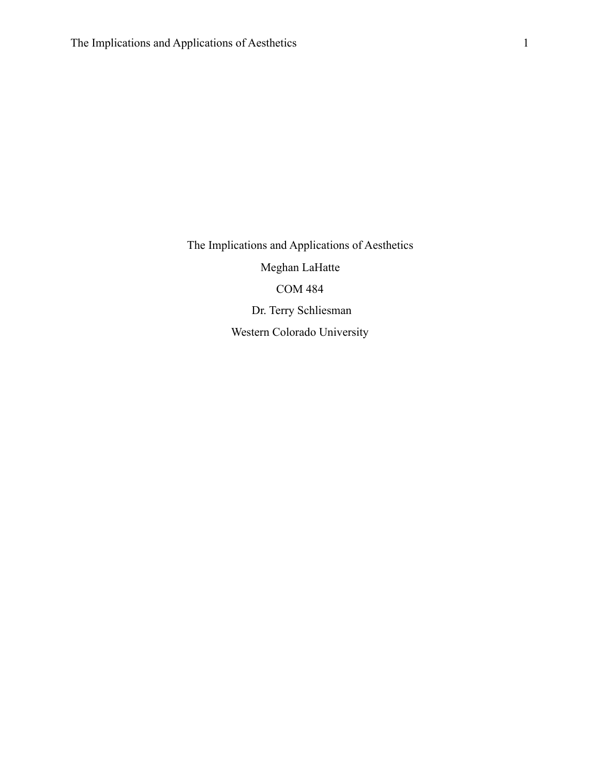The Implications and Applications of Aesthetics Meghan LaHatte COM 484 Dr. Terry Schliesman Western Colorado University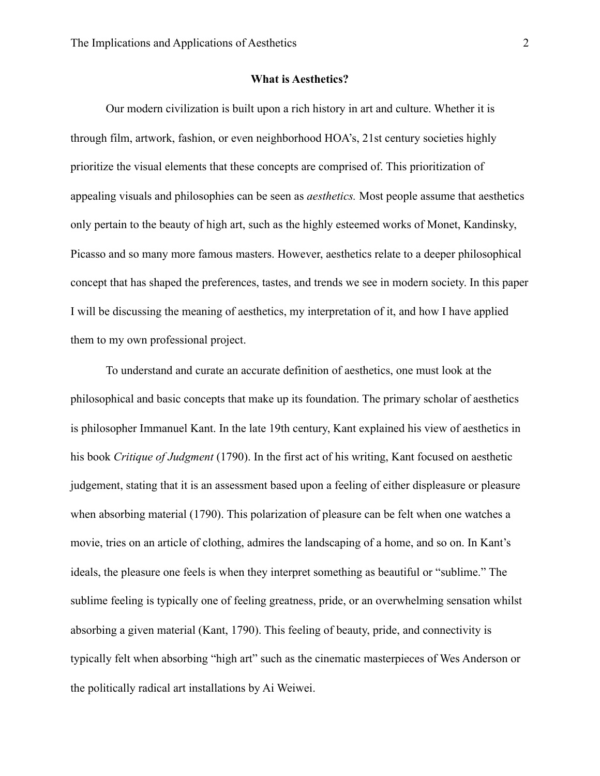## **What is Aesthetics?**

 Our modern civilization is built upon a rich history in art and culture. Whether it is through film, artwork, fashion, or even neighborhood HOA's, 21st century societies highly prioritize the visual elements that these concepts are comprised of. This prioritization of appealing visuals and philosophies can be seen as *aesthetics.* Most people assume that aesthetics only pertain to the beauty of high art, such as the highly esteemed works of Monet, Kandinsky, Picasso and so many more famous masters. However, aesthetics relate to a deeper philosophical concept that has shaped the preferences, tastes, and trends we see in modern society. In this paper I will be discussing the meaning of aesthetics, my interpretation of it, and how I have applied them to my own professional project.

 To understand and curate an accurate definition of aesthetics, one must look at the philosophical and basic concepts that make up its foundation. The primary scholar of aesthetics is philosopher Immanuel Kant. In the late 19th century, Kant explained his view of aesthetics in his book *Critique of Judgment* (1790). In the first act of his writing, Kant focused on aesthetic judgement, stating that it is an assessment based upon a feeling of either displeasure or pleasure when absorbing material (1790). This polarization of pleasure can be felt when one watches a movie, tries on an article of clothing, admires the landscaping of a home, and so on. In Kant's ideals, the pleasure one feels is when they interpret something as beautiful or "sublime." The sublime feeling is typically one of feeling greatness, pride, or an overwhelming sensation whilst absorbing a given material (Kant, 1790). This feeling of beauty, pride, and connectivity is typically felt when absorbing "high art" such as the cinematic masterpieces of Wes Anderson or the politically radical art installations by Ai Weiwei.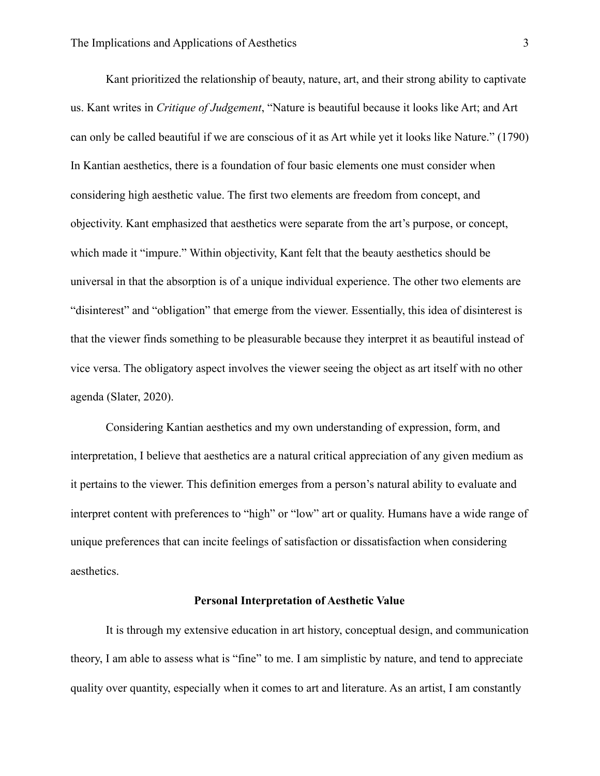Kant prioritized the relationship of beauty, nature, art, and their strong ability to captivate us. Kant writes in *Critique of Judgement*, "Nature is beautiful because it looks like Art; and Art can only be called beautiful if we are conscious of it as Art while yet it looks like Nature." (1790) In Kantian aesthetics, there is a foundation of four basic elements one must consider when considering high aesthetic value. The first two elements are freedom from concept, and objectivity. Kant emphasized that aesthetics were separate from the art's purpose, or concept, which made it "impure." Within objectivity, Kant felt that the beauty aesthetics should be universal in that the absorption is of a unique individual experience. The other two elements are "disinterest" and "obligation" that emerge from the viewer. Essentially, this idea of disinterest is that the viewer finds something to be pleasurable because they interpret it as beautiful instead of vice versa. The obligatory aspect involves the viewer seeing the object as art itself with no other agenda (Slater, 2020).

 Considering Kantian aesthetics and my own understanding of expression, form, and interpretation, I believe that aesthetics are a natural critical appreciation of any given medium as it pertains to the viewer. This definition emerges from a person's natural ability to evaluate and interpret content with preferences to "high" or "low" art or quality. Humans have a wide range of unique preferences that can incite feelings of satisfaction or dissatisfaction when considering aesthetics.

## **Personal Interpretation of Aesthetic Value**

 It is through my extensive education in art history, conceptual design, and communication theory, I am able to assess what is "fine" to me. I am simplistic by nature, and tend to appreciate quality over quantity, especially when it comes to art and literature. As an artist, I am constantly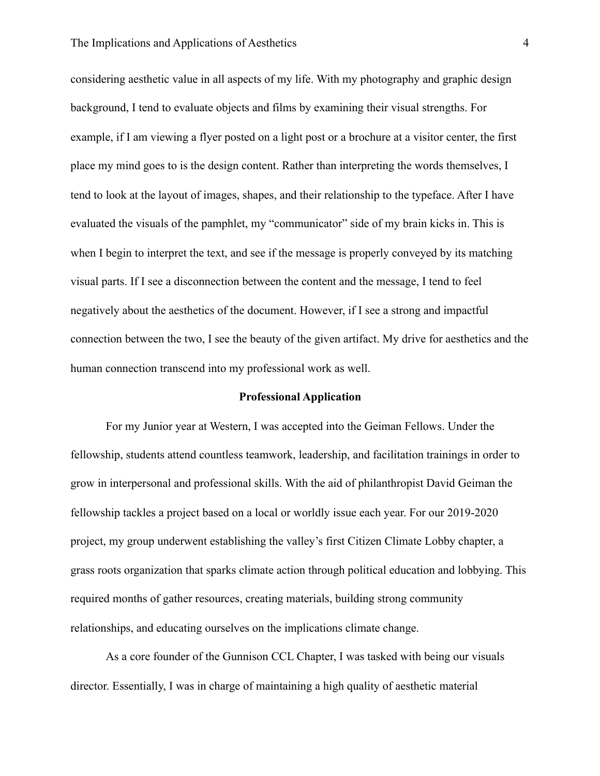# The Implications and Applications of Aesthetics 4

considering aesthetic value in all aspects of my life. With my photography and graphic design background, I tend to evaluate objects and films by examining their visual strengths. For example, if I am viewing a flyer posted on a light post or a brochure at a visitor center, the first place my mind goes to is the design content. Rather than interpreting the words themselves, I tend to look at the layout of images, shapes, and their relationship to the typeface. After I have evaluated the visuals of the pamphlet, my "communicator" side of my brain kicks in. This is when I begin to interpret the text, and see if the message is properly conveyed by its matching visual parts. If I see a disconnection between the content and the message, I tend to feel negatively about the aesthetics of the document. However, if I see a strong and impactful connection between the two, I see the beauty of the given artifact. My drive for aesthetics and the human connection transcend into my professional work as well.

#### **Professional Application**

 For my Junior year at Western, I was accepted into the Geiman Fellows. Under the fellowship, students attend countless teamwork, leadership, and facilitation trainings in order to grow in interpersonal and professional skills. With the aid of philanthropist David Geiman the fellowship tackles a project based on a local or worldly issue each year. For our 2019-2020 project, my group underwent establishing the valley's first Citizen Climate Lobby chapter, a grass roots organization that sparks climate action through political education and lobbying. This required months of gather resources, creating materials, building strong community relationships, and educating ourselves on the implications climate change.

 As a core founder of the Gunnison CCL Chapter, I was tasked with being our visuals director. Essentially, I was in charge of maintaining a high quality of aesthetic material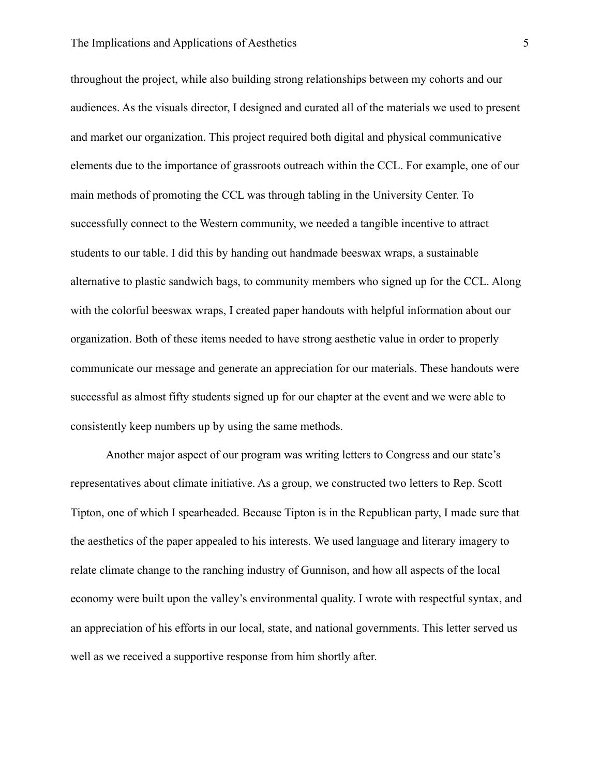# The Implications and Applications of Aesthetics 5

throughout the project, while also building strong relationships between my cohorts and our audiences. As the visuals director, I designed and curated all of the materials we used to present and market our organization. This project required both digital and physical communicative elements due to the importance of grassroots outreach within the CCL. For example, one of our main methods of promoting the CCL was through tabling in the University Center. To successfully connect to the Western community, we needed a tangible incentive to attract students to our table. I did this by handing out handmade beeswax wraps, a sustainable alternative to plastic sandwich bags, to community members who signed up for the CCL. Along with the colorful beeswax wraps, I created paper handouts with helpful information about our organization. Both of these items needed to have strong aesthetic value in order to properly communicate our message and generate an appreciation for our materials. These handouts were successful as almost fifty students signed up for our chapter at the event and we were able to consistently keep numbers up by using the same methods.

 Another major aspect of our program was writing letters to Congress and our state's representatives about climate initiative. As a group, we constructed two letters to Rep. Scott Tipton, one of which I spearheaded. Because Tipton is in the Republican party, I made sure that the aesthetics of the paper appealed to his interests. We used language and literary imagery to relate climate change to the ranching industry of Gunnison, and how all aspects of the local economy were built upon the valley's environmental quality. I wrote with respectful syntax, and an appreciation of his efforts in our local, state, and national governments. This letter served us well as we received a supportive response from him shortly after.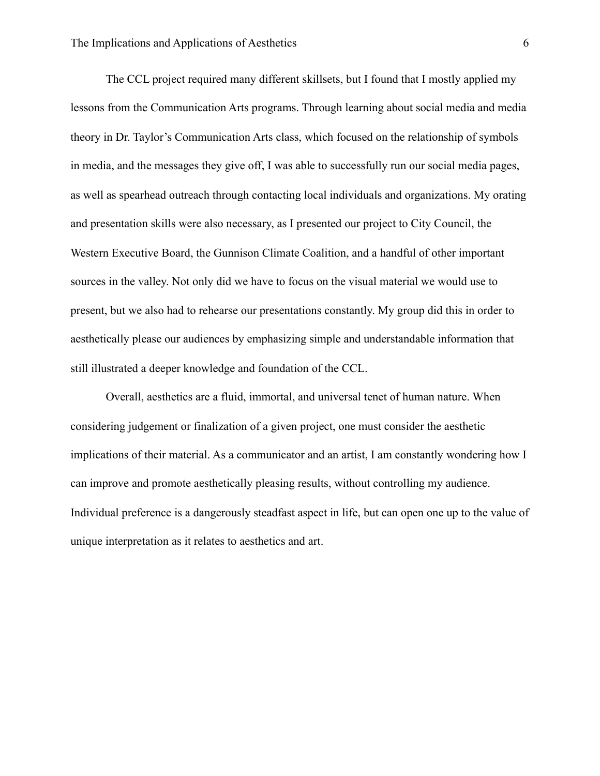The CCL project required many different skillsets, but I found that I mostly applied my lessons from the Communication Arts programs. Through learning about social media and media theory in Dr. Taylor's Communication Arts class, which focused on the relationship of symbols in media, and the messages they give off, I was able to successfully run our social media pages, as well as spearhead outreach through contacting local individuals and organizations. My orating and presentation skills were also necessary, as I presented our project to City Council, the Western Executive Board, the Gunnison Climate Coalition, and a handful of other important sources in the valley. Not only did we have to focus on the visual material we would use to present, but we also had to rehearse our presentations constantly. My group did this in order to aesthetically please our audiences by emphasizing simple and understandable information that still illustrated a deeper knowledge and foundation of the CCL.

 Overall, aesthetics are a fluid, immortal, and universal tenet of human nature. When considering judgement or finalization of a given project, one must consider the aesthetic implications of their material. As a communicator and an artist, I am constantly wondering how I can improve and promote aesthetically pleasing results, without controlling my audience. Individual preference is a dangerously steadfast aspect in life, but can open one up to the value of unique interpretation as it relates to aesthetics and art.